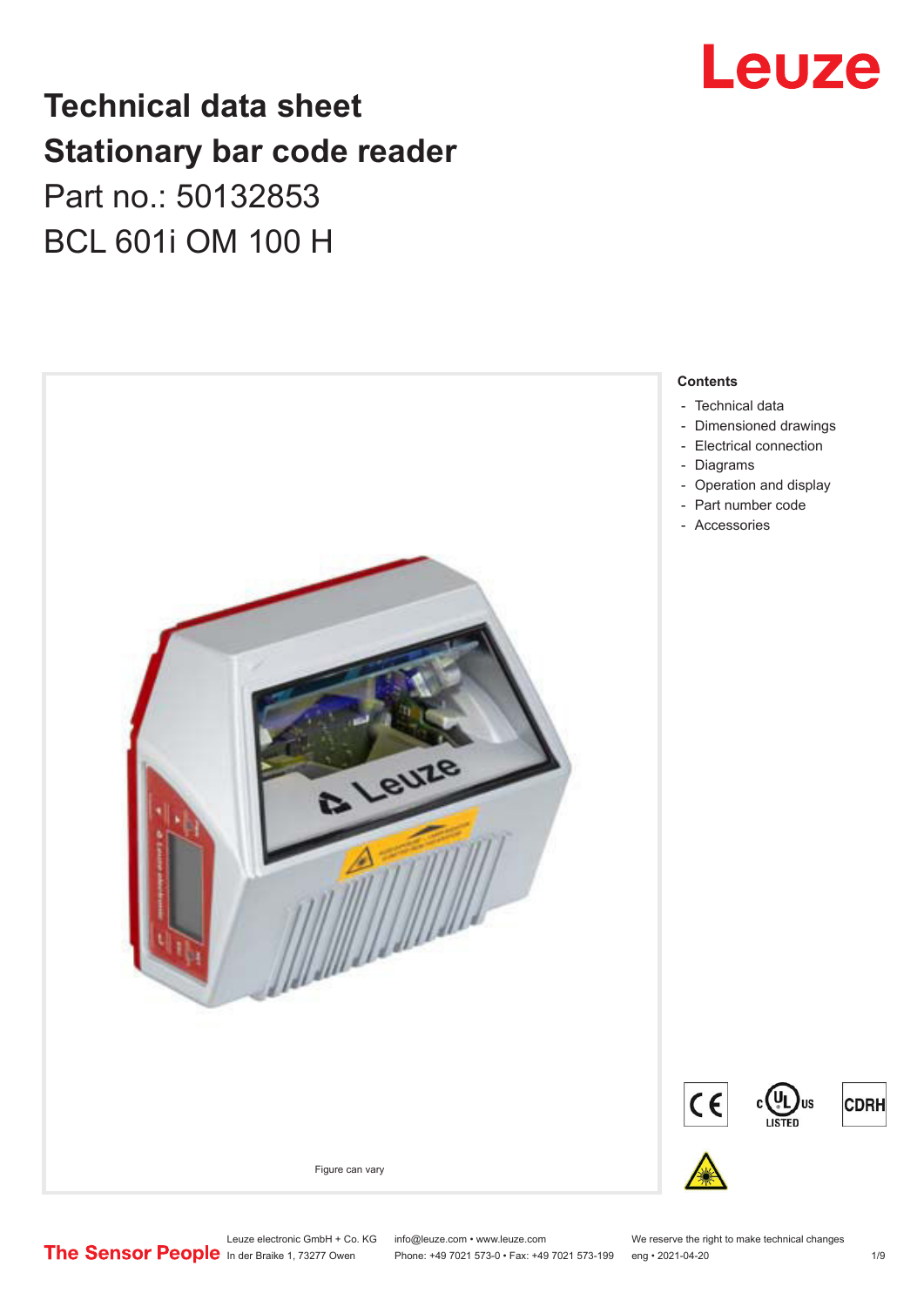# Leuze

# **Technical data sheet Stationary bar code reader** Part no.: 50132853 BCL 601i OM 100 H



Leuze electronic GmbH + Co. KG info@leuze.com • www.leuze.com We reserve the right to make technical changes<br>
The Sensor People in der Braike 1, 73277 Owen Phone: +49 7021 573-0 • Fax: +49 7021 573-199 eng • 2021-04-20

Phone: +49 7021 573-0 • Fax: +49 7021 573-199 eng • 2021-04-20 1 /9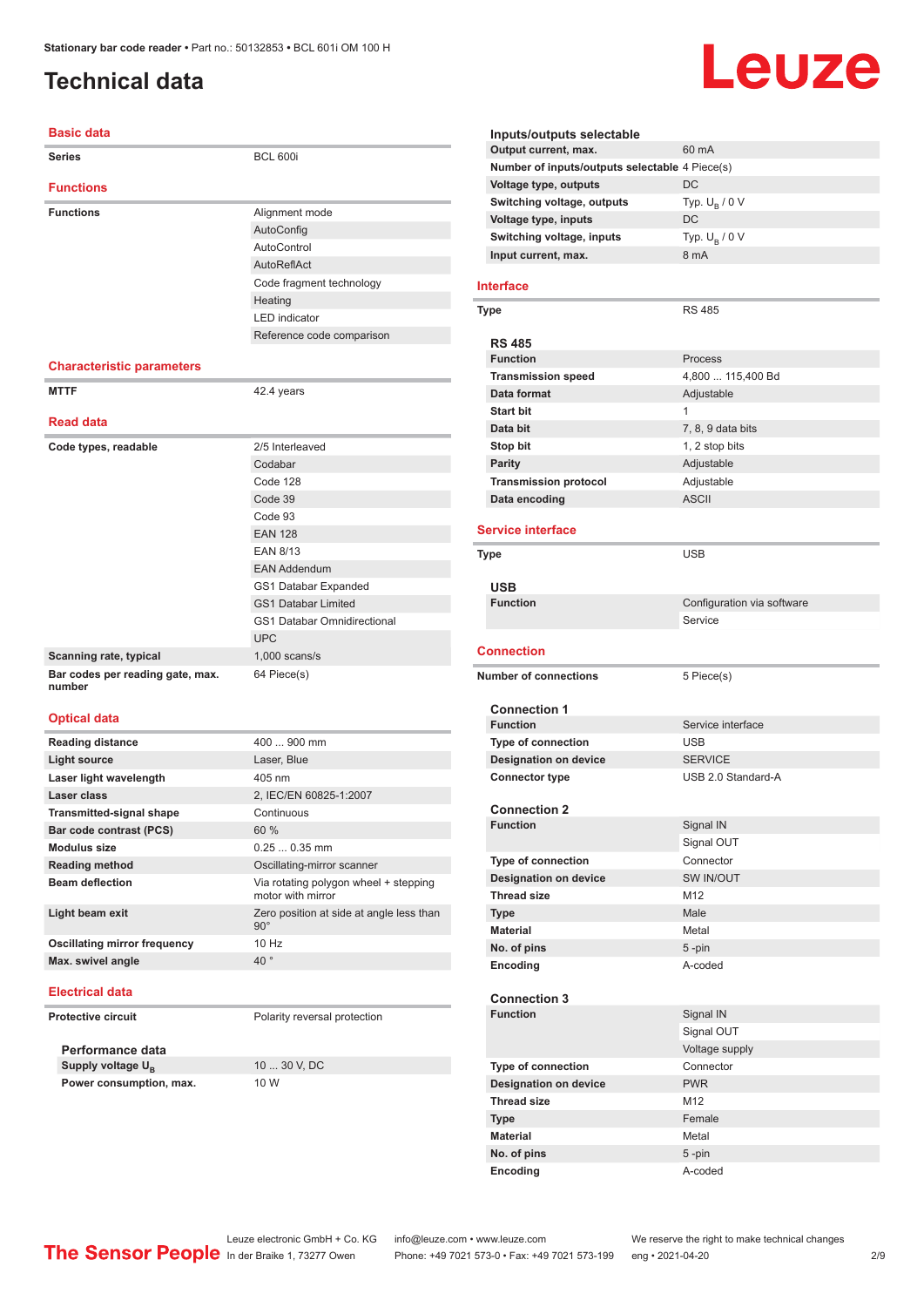# <span id="page-1-0"></span>**Technical data**

#### **Basic data**

| Series                                     | <b>BCL 600i</b>                                            |
|--------------------------------------------|------------------------------------------------------------|
| <b>Functions</b>                           |                                                            |
| <b>Functions</b>                           | Alignment mode                                             |
|                                            | AutoConfig                                                 |
|                                            | AutoControl                                                |
|                                            | AutoReflAct                                                |
|                                            | Code fragment technology                                   |
|                                            | Heating                                                    |
|                                            | <b>LED</b> indicator                                       |
|                                            | Reference code comparison                                  |
| <b>Characteristic parameters</b>           |                                                            |
| <b>MTTF</b>                                | 42.4 years                                                 |
|                                            |                                                            |
| <b>Read data</b>                           |                                                            |
| Code types, readable                       | 2/5 Interleaved                                            |
|                                            | Codabar                                                    |
|                                            | Code 128                                                   |
|                                            | Code 39                                                    |
|                                            | Code 93                                                    |
|                                            | <b>EAN 128</b>                                             |
|                                            | <b>EAN 8/13</b>                                            |
|                                            | <b>EAN Addendum</b>                                        |
|                                            | GS1 Databar Expanded                                       |
|                                            | <b>GS1 Databar Limited</b>                                 |
|                                            | <b>GS1 Databar Omnidirectional</b>                         |
|                                            | <b>UPC</b>                                                 |
| Scanning rate, typical                     | $1,000$ scans/s                                            |
| Bar codes per reading gate, max.<br>number | 64 Piece(s)                                                |
| <b>Optical data</b>                        |                                                            |
| <b>Reading distance</b>                    | 400  900 mm                                                |
| <b>Light source</b>                        | Laser, Blue                                                |
| Laser light wavelength                     | 405 nm                                                     |
| Laser class                                | 2, IEC/EN 60825-1:2007                                     |
| <b>Transmitted-signal shape</b>            | Continuous                                                 |
| Bar code contrast (PCS)                    | 60 %                                                       |
| Modulus size                               | $0.250.35$ mm                                              |
| <b>Reading method</b>                      | Oscillating-mirror scanner                                 |
| <b>Beam deflection</b>                     | Via rotating polygon wheel + stepping<br>motor with mirror |
| Light beam exit                            | Zero position at side at angle less than<br>$90^\circ$     |
| <b>Oscillating mirror frequency</b>        | 10 Hz                                                      |
| Max. swivel angle                          | $40^{\circ}$                                               |
|                                            |                                                            |

#### **Electrical data**

**Protective circuit** Polarity reversal protection

**Performance data** Supply voltage U<sub>B</sub> **Power consumption, max.** 10 W

10 ... 30 V, DC

# Leuze

| Inputs/outputs selectable<br>Output current, max. | 60 mA                      |
|---------------------------------------------------|----------------------------|
| Number of inputs/outputs selectable 4 Piece(s)    |                            |
| Voltage type, outputs                             | DC                         |
| Switching voltage, outputs                        | Typ. $U_R / 0 V$           |
|                                                   | DC                         |
| Voltage type, inputs                              |                            |
| Switching voltage, inputs                         | Typ. $U_R / 0 V$<br>8 mA   |
| Input current, max.                               |                            |
| Interface                                         |                            |
|                                                   |                            |
| Type                                              | <b>RS 485</b>              |
|                                                   |                            |
| <b>RS 485</b><br><b>Function</b>                  | Process                    |
| <b>Transmission speed</b>                         | 4,800  115,400 Bd          |
|                                                   |                            |
| Data format                                       | Adjustable<br>1            |
| <b>Start bit</b>                                  |                            |
| Data bit                                          | 7, 8, 9 data bits          |
| Stop bit                                          | 1, 2 stop bits             |
| <b>Parity</b>                                     | Adjustable                 |
| <b>Transmission protocol</b>                      | Adjustable                 |
| Data encoding                                     | <b>ASCII</b>               |
| <b>Service interface</b>                          |                            |
|                                                   |                            |
| Type                                              | <b>USB</b>                 |
|                                                   |                            |
| <b>USB</b>                                        |                            |
| <b>Function</b>                                   | Configuration via software |
|                                                   | Service                    |
| <b>Connection</b>                                 |                            |
|                                                   |                            |
| <b>Number of connections</b>                      | 5 Piece(s)                 |
|                                                   |                            |
| <b>Connection 1</b>                               |                            |
|                                                   |                            |
| <b>Function</b>                                   | Service interface          |
| <b>Type of connection</b>                         | <b>USB</b>                 |
| <b>Designation on device</b>                      | <b>SERVICE</b>             |
| <b>Connector type</b>                             | USB 2.0 Standard-A         |
|                                                   |                            |
| <b>Connection 2</b>                               |                            |
| <b>Function</b>                                   | Signal IN                  |
|                                                   | Signal OUT                 |
| Type of connection                                | Connector                  |
| <b>Designation on device</b>                      | SW IN/OUT                  |
| <b>Thread size</b>                                | M <sub>12</sub>            |
| <b>Type</b>                                       | Male                       |
| <b>Material</b>                                   | Metal                      |
| No. of pins                                       | $5 - pin$                  |
| Encoding                                          | A-coded                    |
|                                                   |                            |
| <b>Connection 3</b>                               |                            |
| <b>Function</b>                                   | Signal IN                  |
|                                                   | Signal OUT                 |
|                                                   | Voltage supply             |
| <b>Type of connection</b>                         | Connector                  |
| <b>Designation on device</b>                      | <b>PWR</b>                 |
| <b>Thread size</b>                                | M <sub>12</sub>            |
| <b>Type</b>                                       | Female                     |
| <b>Material</b>                                   | Metal                      |
| No. of pins<br>Encoding                           | $5 - pin$<br>A-coded       |

Leuze electronic GmbH + Co. KG info@leuze.com • www.leuze.com We reserve the right to make technical changes ln der Braike 1, 73277 Owen Phone: +49 7021 573-0 • Fax: +49 7021 573-199 eng • 2021-04-20 2/9

Î.

÷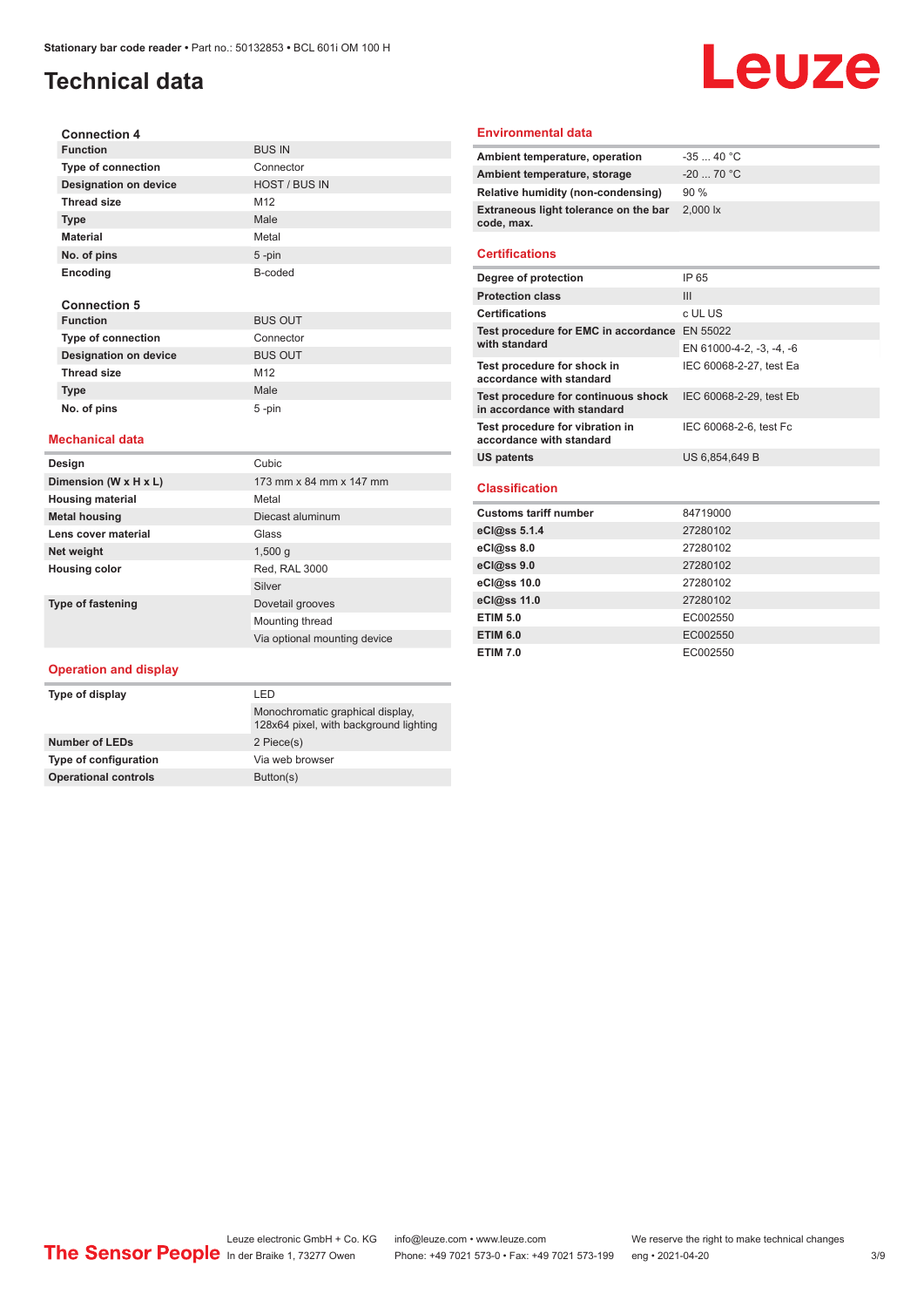# **Technical data**

# Leuze

| <b>Connection 4</b>          |                      |
|------------------------------|----------------------|
| <b>Function</b>              | <b>BUS IN</b>        |
| <b>Type of connection</b>    | Connector            |
| <b>Designation on device</b> | <b>HOST / BUS IN</b> |
| <b>Thread size</b>           | M <sub>12</sub>      |
| <b>Type</b>                  | Male                 |
| <b>Material</b>              | Metal                |
| No. of pins                  | $5 - pin$            |
| Encoding                     | B-coded              |
|                              |                      |
| <b>Connection 5</b>          |                      |
| <b>Function</b>              | <b>BUS OUT</b>       |
| <b>Type of connection</b>    | Connector            |
| <b>Designation on device</b> | <b>BUS OUT</b>       |

#### **Mechanical data**

Thread size M12 **Type Male No. of pins** 5 -pin

| Design                   | Cubic                        |
|--------------------------|------------------------------|
| Dimension (W x H x L)    | 173 mm x 84 mm x 147 mm      |
| <b>Housing material</b>  | Metal                        |
| <b>Metal housing</b>     | Diecast aluminum             |
| Lens cover material      | Glass                        |
| Net weight               | 1,500q                       |
| <b>Housing color</b>     | Red, RAL 3000                |
|                          | Silver                       |
| <b>Type of fastening</b> | Dovetail grooves             |
|                          | Mounting thread              |
|                          | Via optional mounting device |

#### **Operation and display**

| I FD                                                                       |
|----------------------------------------------------------------------------|
| Monochromatic graphical display.<br>128x64 pixel, with background lighting |
| 2 Piece(s)                                                                 |
| Via web browser                                                            |
| Button(s)                                                                  |
|                                                                            |

#### **Environmental data**

| Ambient temperature, operation                      | $-3540 °C$  |
|-----------------------------------------------------|-------------|
| Ambient temperature, storage                        | $-20$ 70 °C |
| Relative humidity (non-condensing)                  | 90%         |
| Extraneous light tolerance on the bar<br>code, max. | 2,000 lx    |
|                                                     |             |

#### **Certifications**

| Degree of protection                                               | IP 65                    |
|--------------------------------------------------------------------|--------------------------|
| <b>Protection class</b>                                            | Ш                        |
| <b>Certifications</b>                                              | c UL US                  |
| Test procedure for EMC in accordance EN 55022                      |                          |
| with standard                                                      | EN 61000-4-2, -3, -4, -6 |
| Test procedure for shock in<br>accordance with standard            | IEC 60068-2-27, test Ea  |
| Test procedure for continuous shock<br>in accordance with standard | IEC 60068-2-29, test Eb  |
| Test procedure for vibration in<br>accordance with standard        | IEC 60068-2-6, test Fc   |
| <b>US patents</b>                                                  | US 6,854,649 B           |
|                                                                    |                          |
| <b>Classification</b>                                              |                          |
| <b>Customs tariff number</b>                                       | 84719000                 |
| eCl@ss 5.1.4                                                       | 27280102                 |
| eCl@ss 8.0                                                         | 27280102                 |
| eCl@ss 9.0                                                         | 27280102                 |
| eCl@ss 10.0                                                        | 27280102                 |
| eCl@ss 11.0                                                        | 27280102                 |
| <b>ETIM 5.0</b>                                                    | EC002550                 |
| <b>ETIM 6.0</b>                                                    | EC002550                 |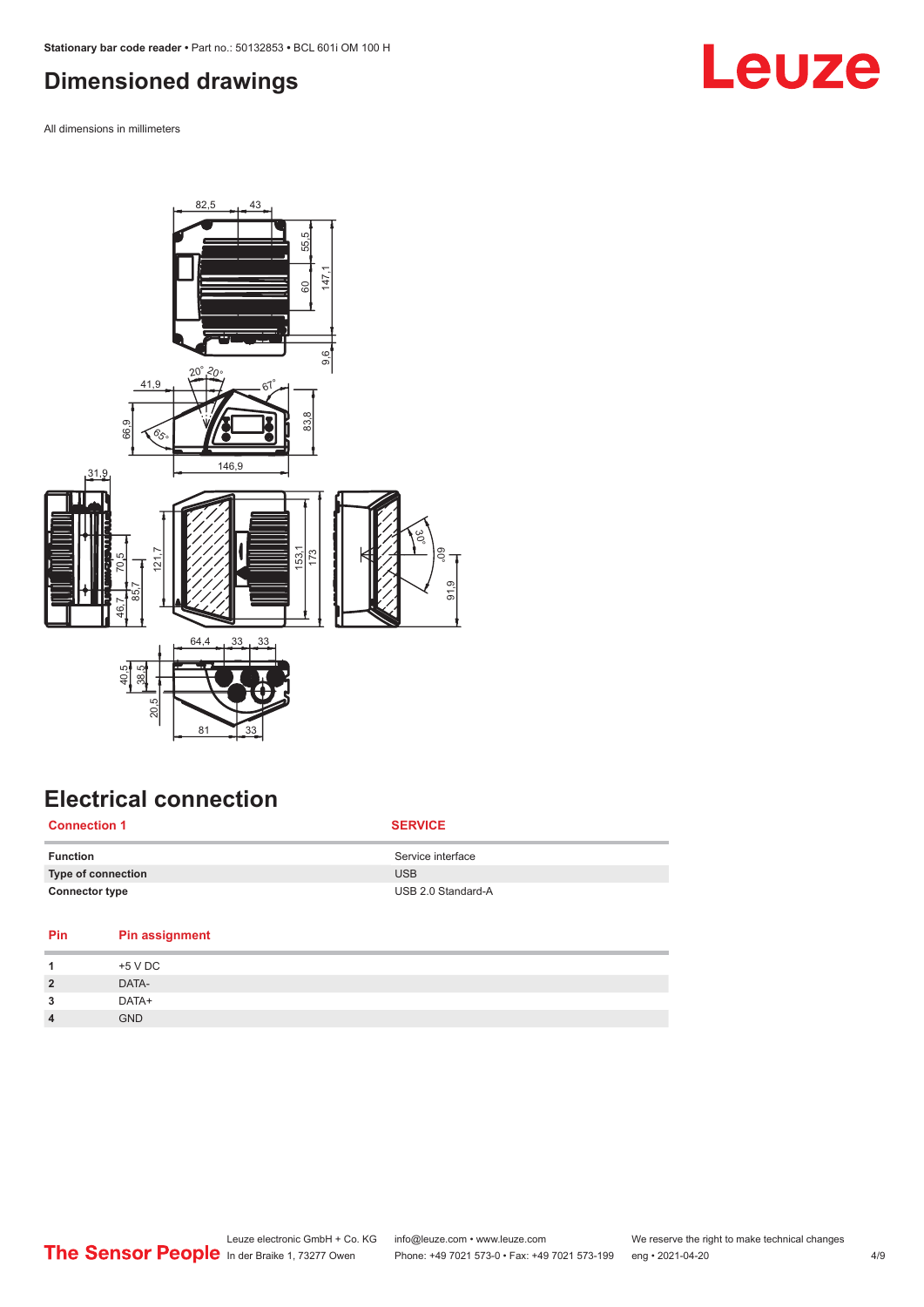## <span id="page-3-0"></span>**Dimensioned drawings**

All dimensions in millimeters



# **Electrical connection**

| <b>Connection 1</b>   | <b>SERVICE</b>     |
|-----------------------|--------------------|
| <b>Function</b>       | Service interface  |
| Type of connection    | <b>USB</b>         |
| <b>Connector type</b> | USB 2.0 Standard-A |

| Pin            | <b>Pin assignment</b> |
|----------------|-----------------------|
|                | +5 V DC               |
| $\overline{2}$ | DATA-                 |
| 3              | DATA+                 |
| 4              | <b>GND</b>            |
|                |                       |

# **Leuze**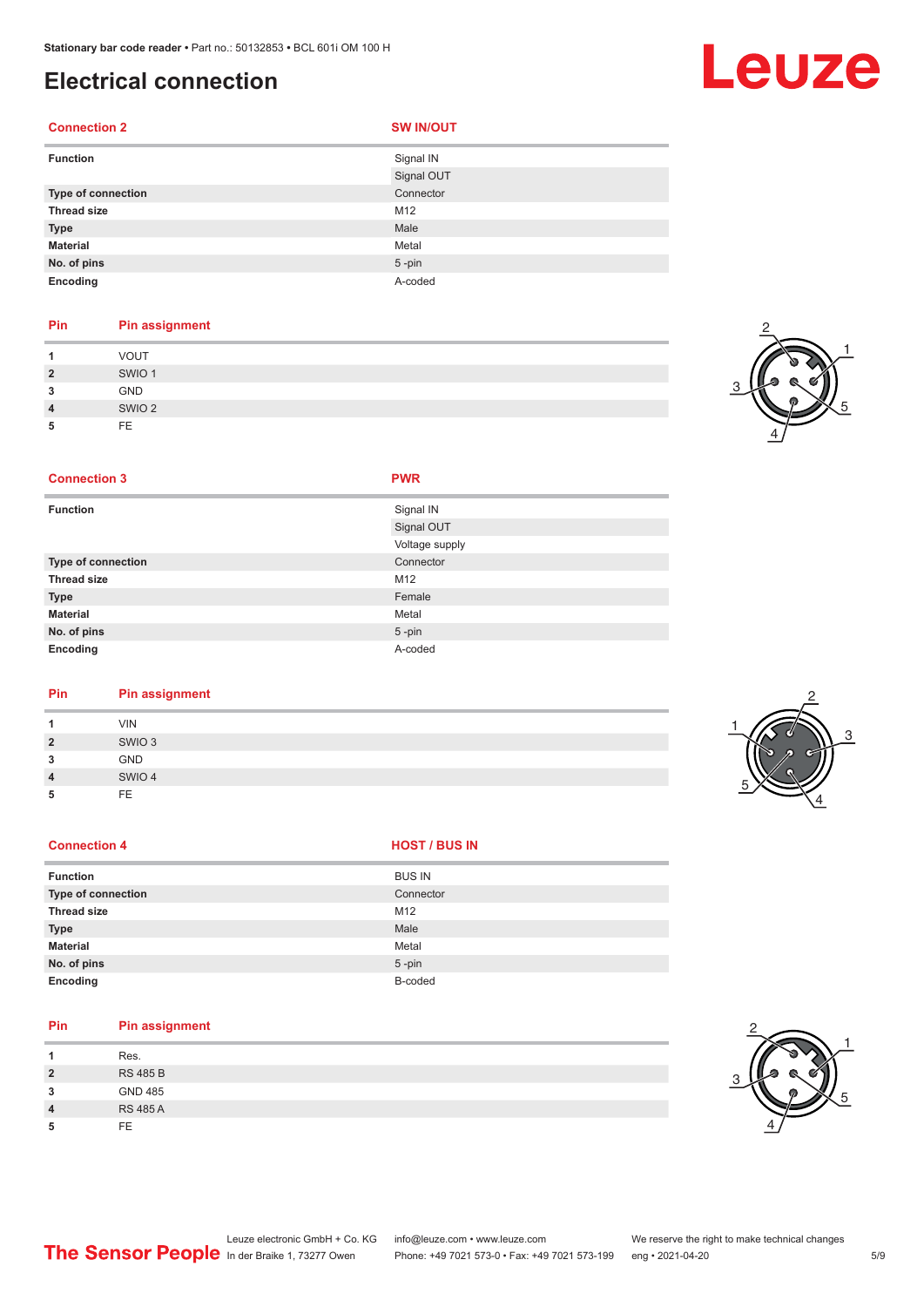## **Electrical connection**

#### **Connection 2 SW IN/OUT**

| <b>Function</b>    | Signal IN  |
|--------------------|------------|
|                    | Signal OUT |
| Type of connection | Connector  |
| <b>Thread size</b> | M12        |
| <b>Type</b>        | Male       |
| <b>Material</b>    | Metal      |
| No. of pins        | $5$ -pin   |
| Encoding           | A-coded    |

#### **Pin Pin assignment**

|                | VOUT              |
|----------------|-------------------|
| $\overline{2}$ | SWIO <sub>1</sub> |
| 3              | <b>GND</b>        |
| $\overline{4}$ | SWIO <sub>2</sub> |
| 5              | <b>FE</b>         |



#### **Connection 3 PWR**

| <b>Function</b>    | Signal IN      |
|--------------------|----------------|
|                    | Signal OUT     |
|                    | Voltage supply |
| Type of connection | Connector      |
| <b>Thread size</b> | M12            |
| <b>Type</b>        | Female         |
| <b>Material</b>    | Metal          |
| No. of pins        | $5 - pin$      |
| Encoding           | A-coded        |

#### **Pin Pin assignment**

| <b>VIN</b><br>SWIO <sub>3</sub><br>$\overline{2}$<br>GND<br>3<br>SWIO 4<br>$\overline{\mathbf{4}}$<br>FE<br>5 |  |  |  |
|---------------------------------------------------------------------------------------------------------------|--|--|--|
|                                                                                                               |  |  |  |
|                                                                                                               |  |  |  |
|                                                                                                               |  |  |  |
|                                                                                                               |  |  |  |
|                                                                                                               |  |  |  |

#### **Connection 4 HOST** / BUS IN

| <b>Function</b>           | <b>BUS IN</b> |
|---------------------------|---------------|
| <b>Type of connection</b> | Connector     |
| <b>Thread size</b>        | M12           |
| <b>Type</b>               | Male          |
| <b>Material</b>           | Metal         |
| No. of pins               | $5$ -pin      |
| Encoding                  | B-coded       |

### **Pin Pin assignment**

| и              | Res.            |
|----------------|-----------------|
| $\overline{2}$ | <b>RS 485 B</b> |
| 3              | <b>GND 485</b>  |
| $\overline{4}$ | <b>RS 485 A</b> |
| 5              | FF.             |



# Leuze

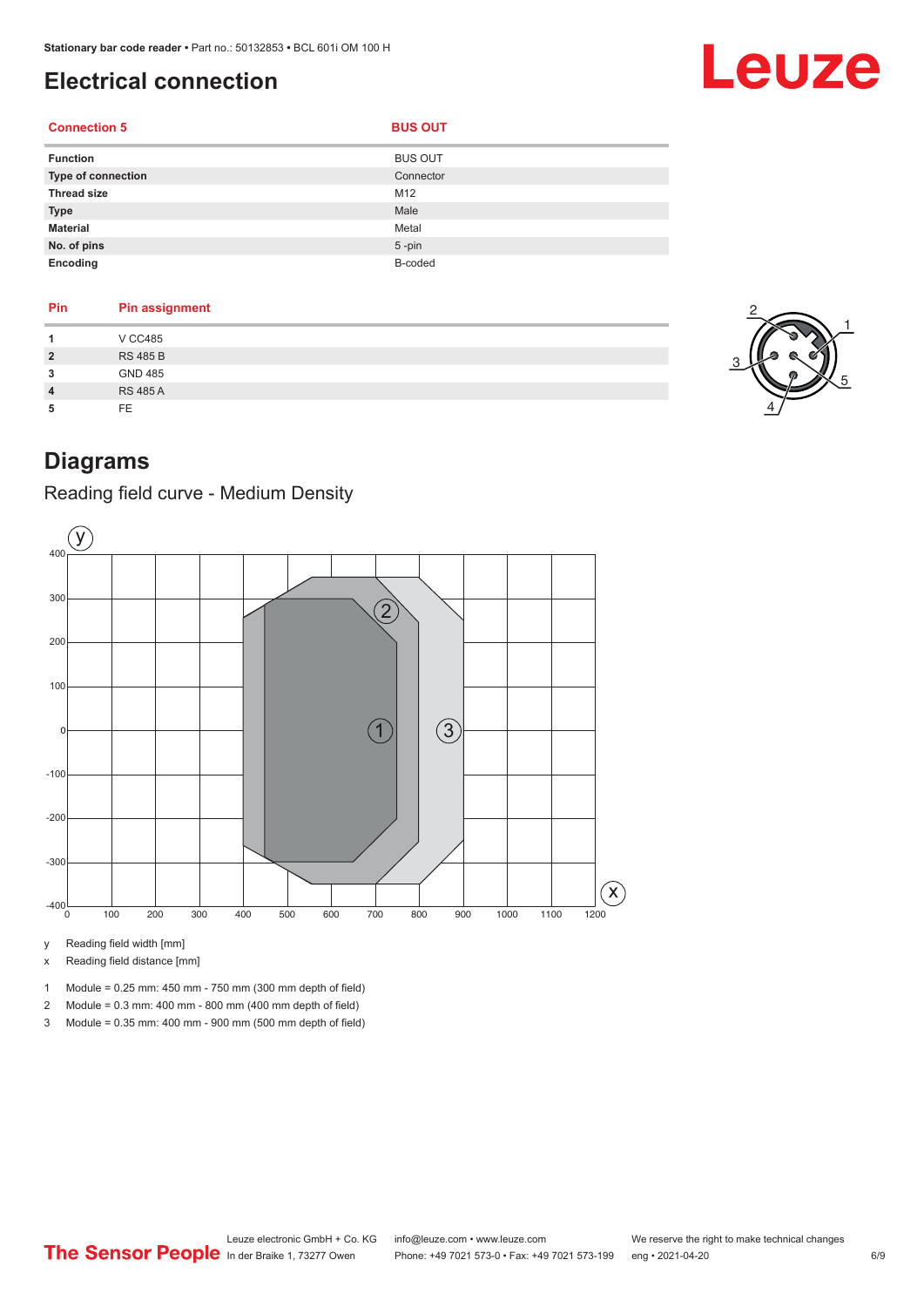# <span id="page-5-0"></span>**Electrical connection**

# **Connection 5 BUS OUT**

| <b>Function</b>           | <b>BUS OUT</b> |
|---------------------------|----------------|
| <b>Type of connection</b> | Connector      |
| <b>Thread size</b>        | M12            |
| <b>Type</b>               | Male           |
| <b>Material</b>           | Metal          |
| No. of pins               | $5$ -pin       |
| Encoding                  | B-coded        |

| Pin            | <b>Pin assignment</b> |
|----------------|-----------------------|
| 1              | <b>V CC485</b>        |
| $\overline{2}$ | <b>RS 485 B</b>       |
| 3              | <b>GND 485</b>        |
| $\overline{4}$ | <b>RS 485 A</b>       |
| 5              | FE.                   |



Leuze

# **Diagrams**

### Reading field curve - Medium Density



y Reading field width [mm]

x Reading field distance [mm]

- 1 Module = 0.25 mm: 450 mm 750 mm (300 mm depth of field)
- 2 Module = 0.3 mm: 400 mm 800 mm (400 mm depth of field)
- 3 Module = 0.35 mm: 400 mm 900 mm (500 mm depth of field)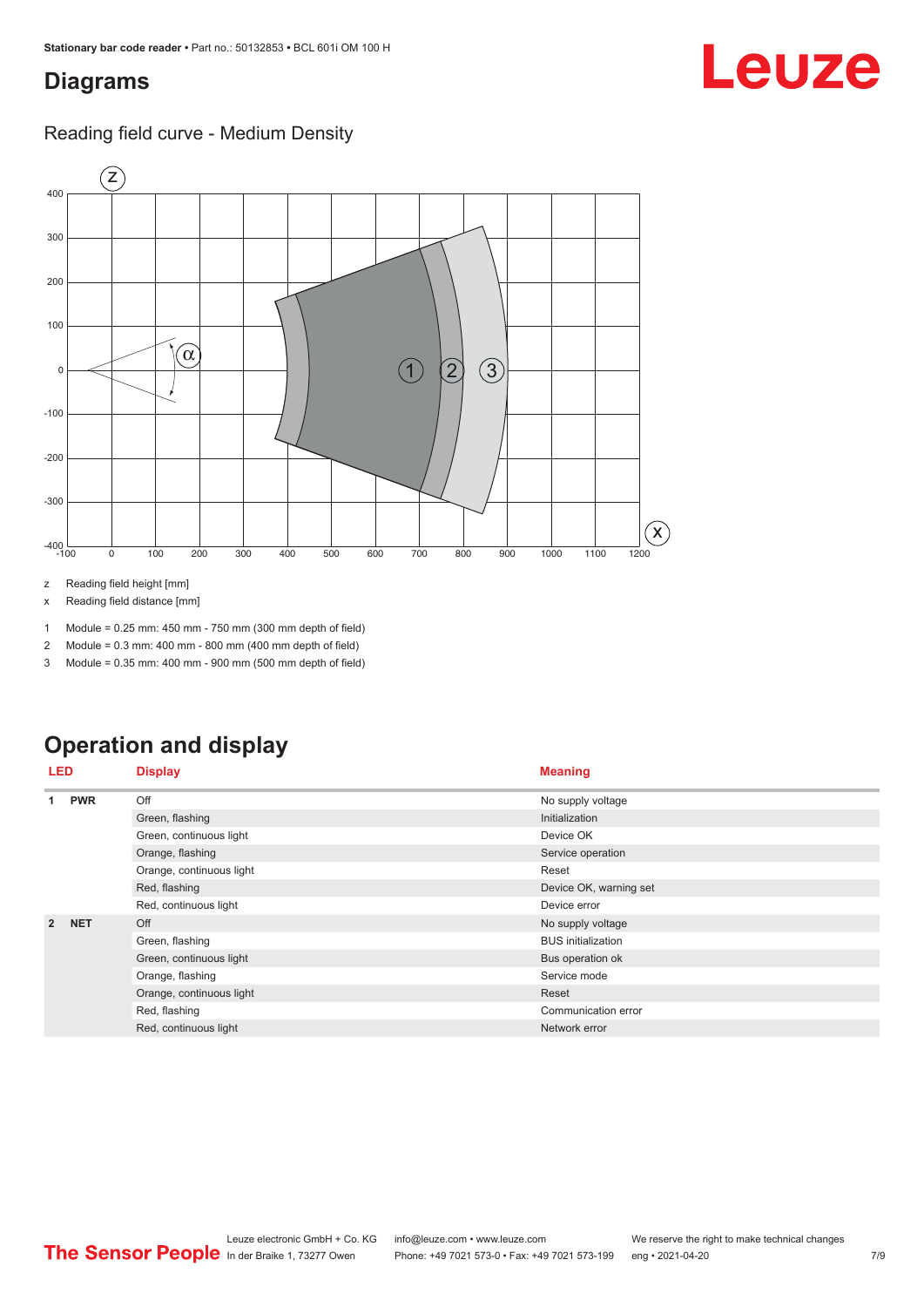## <span id="page-6-0"></span>**Diagrams**

### Reading field curve - Medium Density



z Reading field height [mm]

x Reading field distance [mm]

1 Module = 0.25 mm: 450 mm - 750 mm (300 mm depth of field)

2 Module = 0.3 mm: 400 mm - 800 mm (400 mm depth of field)

3 Module = 0.35 mm: 400 mm - 900 mm (500 mm depth of field)

# **Operation and display**

| <b>LED</b>      |            | <b>Display</b>           | <b>Meaning</b>            |  |
|-----------------|------------|--------------------------|---------------------------|--|
| <b>PWR</b><br>1 |            | Off                      | No supply voltage         |  |
|                 |            | Green, flashing          | Initialization            |  |
|                 |            | Green, continuous light  | Device OK                 |  |
|                 |            | Orange, flashing         | Service operation         |  |
|                 |            | Orange, continuous light | Reset                     |  |
|                 |            | Red, flashing            | Device OK, warning set    |  |
|                 |            | Red, continuous light    | Device error              |  |
| $\overline{2}$  | <b>NET</b> | Off                      | No supply voltage         |  |
|                 |            | Green, flashing          | <b>BUS</b> initialization |  |
|                 |            | Green, continuous light  | Bus operation ok          |  |
|                 |            | Orange, flashing         | Service mode              |  |
|                 |            | Orange, continuous light | Reset                     |  |
|                 |            | Red, flashing            | Communication error       |  |
|                 |            | Red, continuous light    | Network error             |  |

Leuze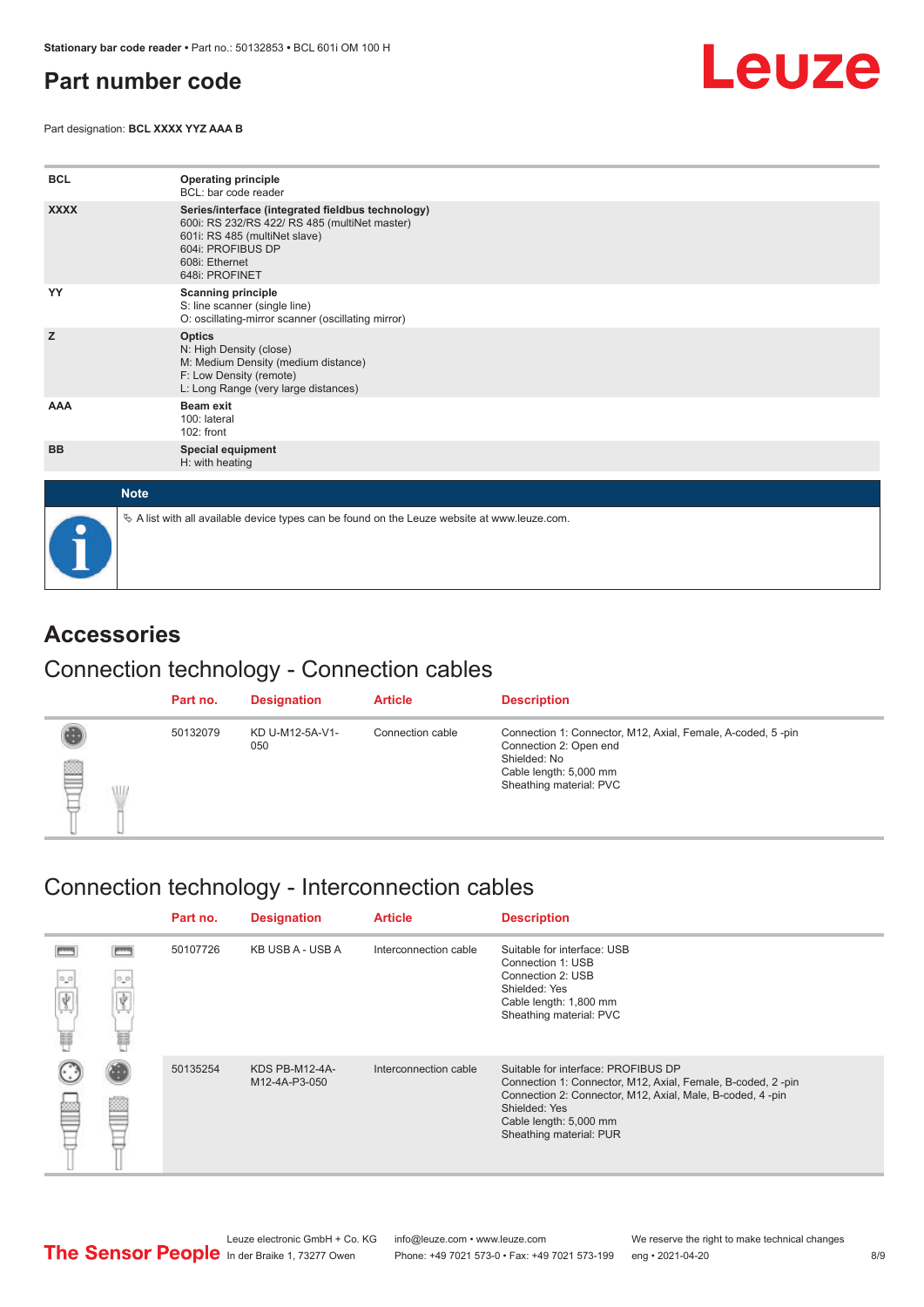# <span id="page-7-0"></span>**Part number code**

Part designation: **BCL XXXX YYZ AAA B**



| <b>BCL</b>  | <b>Operating principle</b><br>BCL: bar code reader                                                                                                                                           |
|-------------|----------------------------------------------------------------------------------------------------------------------------------------------------------------------------------------------|
| <b>XXXX</b> | Series/interface (integrated fieldbus technology)<br>600i: RS 232/RS 422/ RS 485 (multiNet master)<br>601i: RS 485 (multiNet slave)<br>604i: PROFIBUS DP<br>608i: Ethernet<br>648i: PROFINET |
| YY          | <b>Scanning principle</b><br>S: line scanner (single line)<br>O: oscillating-mirror scanner (oscillating mirror)                                                                             |
| z           | <b>Optics</b><br>N: High Density (close)<br>M: Medium Density (medium distance)<br>F: Low Density (remote)<br>L: Long Range (very large distances)                                           |
| <b>AAA</b>  | Beam exit<br>100: lateral<br>102: front                                                                                                                                                      |
| <b>BB</b>   | Special equipment<br>H: with heating                                                                                                                                                         |
| <b>Note</b> |                                                                                                                                                                                              |
|             | $\&$ A list with all available device types can be found on the Leuze website at www.leuze.com.                                                                                              |

# **Accessories**

### Connection technology - Connection cables

|   |   | Part no. | <b>Designation</b>     | <b>Article</b>   | <b>Description</b>                                                                                                                                         |
|---|---|----------|------------------------|------------------|------------------------------------------------------------------------------------------------------------------------------------------------------------|
| § | W | 50132079 | KD U-M12-5A-V1-<br>050 | Connection cable | Connection 1: Connector, M12, Axial, Female, A-coded, 5-pin<br>Connection 2: Open end<br>Shielded: No<br>Cable length: 5,000 mm<br>Sheathing material: PVC |

# Connection technology - Interconnection cables

|                  |          | Part no. | <b>Designation</b>              | <b>Article</b>                                                                                                                                                       | <b>Description</b>                                                                                                                                                                                                                    |
|------------------|----------|----------|---------------------------------|----------------------------------------------------------------------------------------------------------------------------------------------------------------------|---------------------------------------------------------------------------------------------------------------------------------------------------------------------------------------------------------------------------------------|
| $\sigma_{\rm m}$ | 0,0<br>冨 | 50107726 | KB USB A - USB A                | Interconnection cable<br>Suitable for interface: USB<br>Connection 1: USB<br>Connection 2: USB<br>Shielded: Yes<br>Cable length: 1,800 mm<br>Sheathing material: PVC |                                                                                                                                                                                                                                       |
|                  |          | 50135254 | KDS PB-M12-4A-<br>M12-4A-P3-050 | Interconnection cable                                                                                                                                                | Suitable for interface: PROFIBUS DP<br>Connection 1: Connector, M12, Axial, Female, B-coded, 2-pin<br>Connection 2: Connector, M12, Axial, Male, B-coded, 4-pin<br>Shielded: Yes<br>Cable length: 5,000 mm<br>Sheathing material: PUR |